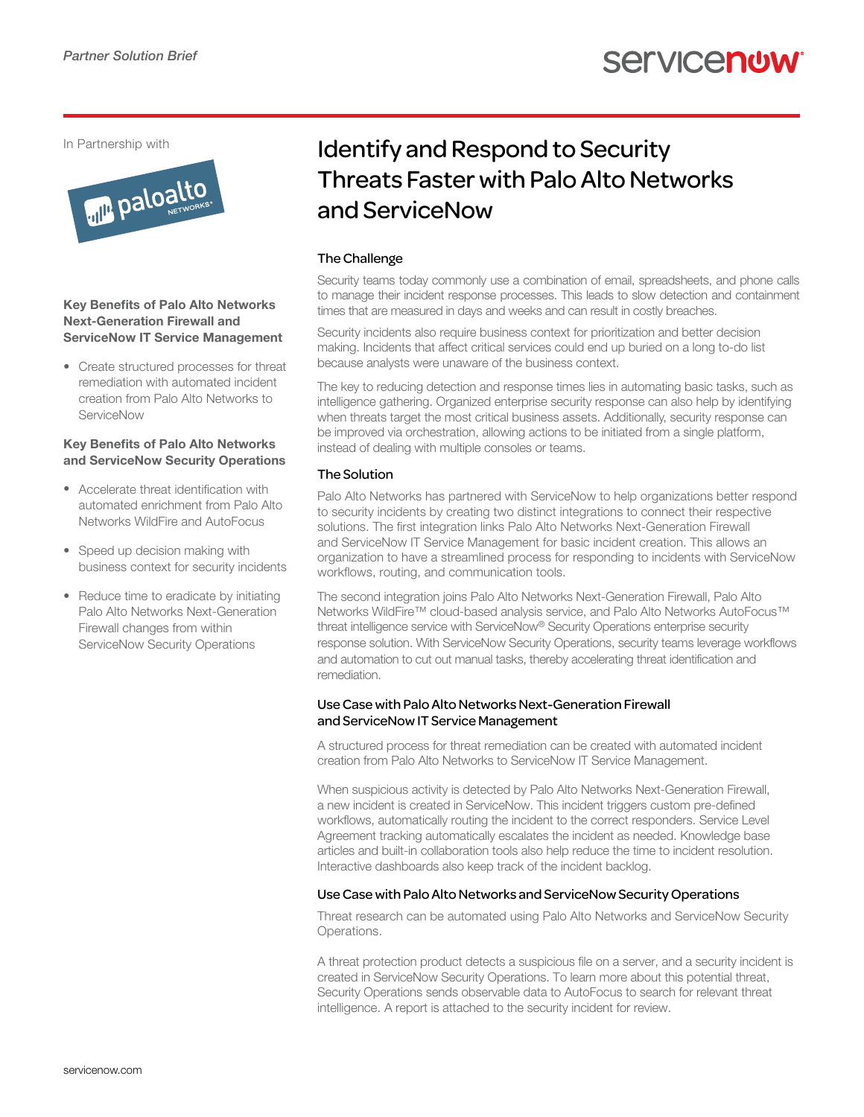In Partnership with



#### Key Benefits of Palo Alto Networks Next-Generation Firewall and ServiceNow IT Service Management

• Create structured processes for threat remediation with automated incident creation from Palo Alto Networks to ServiceNow

#### Key Benefits of Palo Alto Networks and ServiceNow Security Operations

- Accelerate threat identification with automated enrichment from Palo Alto Networks WildFire and AutoFocus
- Speed up decision making with business context for security incidents
- Reduce time to eradicate by initiating Palo Alto Networks Next-Generation Firewall changes from within ServiceNow Security Operations

# Identify and Respond to Security Threats Faster with Palo Alto Networks and ServiceNow

### The Challenge

Security teams today commonly use a combination of email, spreadsheets, and phone calls to manage their incident response processes. This leads to slow detection and containment times that are measured in days and weeks and can result in costly breaches.

Security incidents also require business context for prioritization and better decision making. Incidents that affect critical services could end up buried on a long to-do list because analysts were unaware of the business context.

The key to reducing detection and response times lies in automating basic tasks, such as intelligence gathering. Organized enterprise security response can also help by identifying when threats target the most critical business assets. Additionally, security response can be improved via orchestration, allowing actions to be initiated from a single platform, instead of dealing with multiple consoles or teams.

## The Solution

Palo Alto Networks has partnered with ServiceNow to help organizations better respond to security incidents by creating two distinct integrations to connect their respective solutions. The first integration links Palo Alto Networks Next-Generation Firewall and ServiceNow IT Service Management for basic incident creation. This allows an organization to have a streamlined process for responding to incidents with ServiceNow workflows, routing, and communication tools.

The second integration joins Palo Alto Networks Next-Generation Firewall, Palo Alto Networks WildFire™ cloud-based analysis service, and Palo Alto Networks AutoFocus™ threat intelligence service with ServiceNow® Security Operations enterprise security response solution. With ServiceNow Security Operations, security teams leverage workflows and automation to cut out manual tasks, thereby accelerating threat identification and remediation.

#### Use Case with Palo Alto Networks Next-Generation Firewall and ServiceNow IT Service Management

A structured process for threat remediation can be created with automated incident creation from Palo Alto Networks to ServiceNow IT Service Management.

When suspicious activity is detected by Palo Alto Networks Next-Generation Firewall, a new incident is created in ServiceNow. This incident triggers custom pre-defined workflows, automatically routing the incident to the correct responders. Service Level Agreement tracking automatically escalates the incident as needed. Knowledge base articles and built-in collaboration tools also help reduce the time to incident resolution. Interactive dashboards also keep track of the incident backlog.

#### Use Case with Palo Alto Networks and ServiceNow Security Operations

Threat research can be automated using Palo Alto Networks and ServiceNow Security Operations.

A threat protection product detects a suspicious file on a server, and a security incident is created in ServiceNow Security Operations. To learn more about this potential threat, Security Operations sends observable data to AutoFocus to search for relevant threat intelligence. A report is attached to the security incident for review.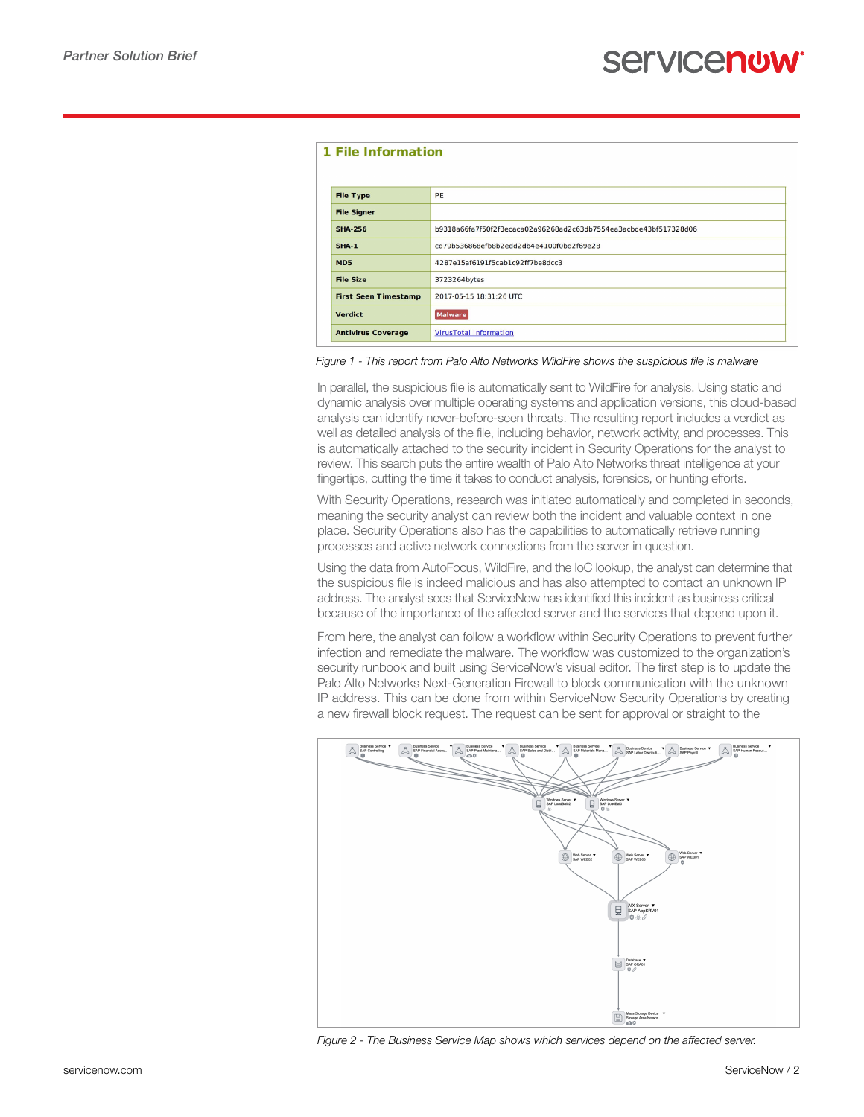| 1 File Information          |                                                                  |  |  |  |
|-----------------------------|------------------------------------------------------------------|--|--|--|
| <b>File Type</b>            | PE                                                               |  |  |  |
| <b>File Signer</b>          |                                                                  |  |  |  |
| <b>SHA-256</b>              | b9318a66fa7f50f2f3ecaca02a96268ad2c63db7554ea3acbde43bf517328d06 |  |  |  |
| <b>SHA-1</b>                | cd79b536868efb8b2edd2db4e4100f0bd2f69e28                         |  |  |  |
| MD <sub>5</sub>             | 4287e15af6191f5cab1c92ff7be8dcc3                                 |  |  |  |
| <b>File Size</b>            | 3723264bytes                                                     |  |  |  |
| <b>First Seen Timestamp</b> | 2017-05-15 18:31:26 UTC                                          |  |  |  |
| <b>Verdict</b>              | <b>Malware</b>                                                   |  |  |  |
| <b>Antivirus Coverage</b>   | <b>VirusTotal Information</b>                                    |  |  |  |

#### *Figure 1 - This report from Palo Alto Networks WildFire shows the suspicious file is malware*

In parallel, the suspicious file is automatically sent to WildFire for analysis. Using static and dynamic analysis over multiple operating systems and application versions, this cloud-based analysis can identify never-before-seen threats. The resulting report includes a verdict as well as detailed analysis of the file, including behavior, network activity, and processes. This is automatically attached to the security incident in Security Operations for the analyst to review. This search puts the entire wealth of Palo Alto Networks threat intelligence at your fingertips, cutting the time it takes to conduct analysis, forensics, or hunting efforts.

With Security Operations, research was initiated automatically and completed in seconds, meaning the security analyst can review both the incident and valuable context in one place. Security Operations also has the capabilities to automatically retrieve running processes and active network connections from the server in question.

Using the data from AutoFocus, WildFire, and the IoC lookup, the analyst can determine that the suspicious file is indeed malicious and has also attempted to contact an unknown IP address. The analyst sees that ServiceNow has identified this incident as business critical because of the importance of the affected server and the services that depend upon it.

From here, the analyst can follow a workflow within Security Operations to prevent further infection and remediate the malware. The workflow was customized to the organization's security runbook and built using ServiceNow's visual editor. The first step is to update the Palo Alto Networks Next-Generation Firewall to block communication with the unknown IP address. This can be done from within ServiceNow Security Operations by creating a new firewall block request. The request can be sent for approval or straight to the



*Figure 2 - The Business Service Map shows which services depend on the affected server.*